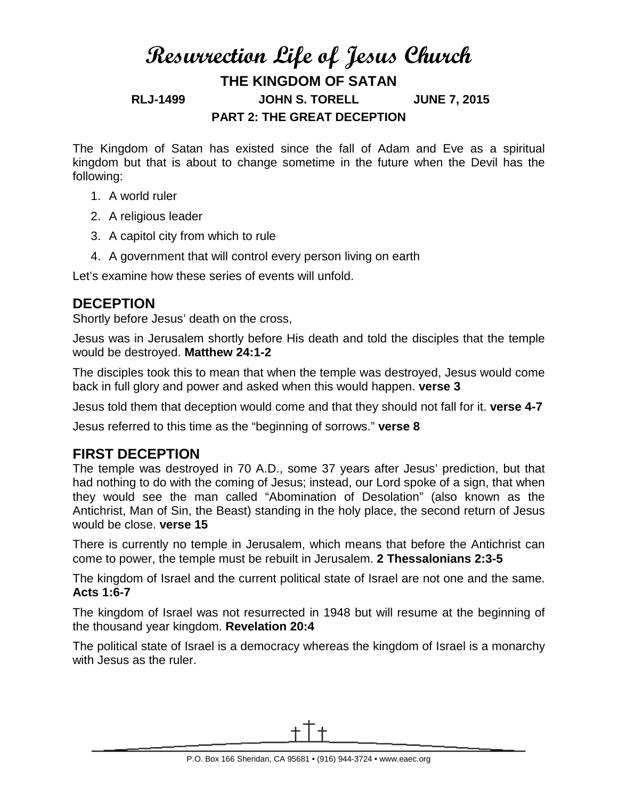# **Resurrection Life of Jesus Church THE KINGDOM OF SATAN RLJ-1499 JOHN S. TORELL JUNE 7, 2015 PART 2: THE GREAT DECEPTION**

The Kingdom of Satan has existed since the fall of Adam and Eve as a spiritual kingdom but that is about to change sometime in the future when the Devil has the following:

- 1. A world ruler
- 2. A religious leader
- 3. A capitol city from which to rule
- 4. A government that will control every person living on earth

Let's examine how these series of events will unfold.

#### **DECEPTION**

Shortly before Jesus' death on the cross,

Jesus was in Jerusalem shortly before His death and told the disciples that the temple would be destroyed. **Matthew 24:1-2**

The disciples took this to mean that when the temple was destroyed, Jesus would come back in full glory and power and asked when this would happen. **verse 3**

Jesus told them that deception would come and that they should not fall for it. **verse 4-7**

Jesus referred to this time as the "beginning of sorrows." **verse 8**

## **FIRST DECEPTION**

The temple was destroyed in 70 A.D., some 37 years after Jesus' prediction, but that had nothing to do with the coming of Jesus; instead, our Lord spoke of a sign, that when they would see the man called "Abomination of Desolation" (also known as the Antichrist, Man of Sin, the Beast) standing in the holy place, the second return of Jesus would be close. **verse 15**

There is currently no temple in Jerusalem, which means that before the Antichrist can come to power, the temple must be rebuilt in Jerusalem. **2 Thessalonians 2:3-5**

The kingdom of Israel and the current political state of Israel are not one and the same. **Acts 1:6-7**

The kingdom of Israel was not resurrected in 1948 but will resume at the beginning of the thousand year kingdom. **Revelation 20:4**

The political state of Israel is a democracy whereas the kingdom of Israel is a monarchy with Jesus as the ruler.

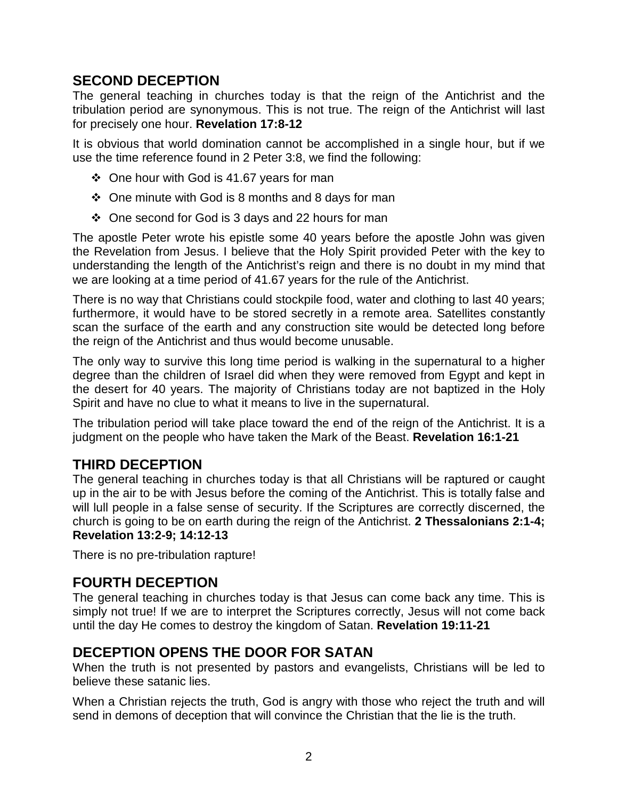#### **SECOND DECEPTION**

The general teaching in churches today is that the reign of the Antichrist and the tribulation period are synonymous. This is not true. The reign of the Antichrist will last for precisely one hour. **Revelation 17:8-12**

It is obvious that world domination cannot be accomplished in a single hour, but if we use the time reference found in 2 Peter 3:8, we find the following:

- One hour with God is 41.67 years for man
- $\div$  One minute with God is 8 months and 8 days for man
- One second for God is 3 days and 22 hours for man

The apostle Peter wrote his epistle some 40 years before the apostle John was given the Revelation from Jesus. I believe that the Holy Spirit provided Peter with the key to understanding the length of the Antichrist's reign and there is no doubt in my mind that we are looking at a time period of 41.67 years for the rule of the Antichrist.

There is no way that Christians could stockpile food, water and clothing to last 40 years; furthermore, it would have to be stored secretly in a remote area. Satellites constantly scan the surface of the earth and any construction site would be detected long before the reign of the Antichrist and thus would become unusable.

The only way to survive this long time period is walking in the supernatural to a higher degree than the children of Israel did when they were removed from Egypt and kept in the desert for 40 years. The majority of Christians today are not baptized in the Holy Spirit and have no clue to what it means to live in the supernatural.

The tribulation period will take place toward the end of the reign of the Antichrist. It is a judgment on the people who have taken the Mark of the Beast. **Revelation 16:1-21**

## **THIRD DECEPTION**

The general teaching in churches today is that all Christians will be raptured or caught up in the air to be with Jesus before the coming of the Antichrist. This is totally false and will lull people in a false sense of security. If the Scriptures are correctly discerned, the church is going to be on earth during the reign of the Antichrist. **2 Thessalonians 2:1-4; Revelation 13:2-9; 14:12-13**

There is no pre-tribulation rapture!

## **FOURTH DECEPTION**

The general teaching in churches today is that Jesus can come back any time. This is simply not true! If we are to interpret the Scriptures correctly, Jesus will not come back until the day He comes to destroy the kingdom of Satan. **Revelation 19:11-21**

## **DECEPTION OPENS THE DOOR FOR SATAN**

When the truth is not presented by pastors and evangelists, Christians will be led to believe these satanic lies.

When a Christian rejects the truth, God is angry with those who reject the truth and will send in demons of deception that will convince the Christian that the lie is the truth.